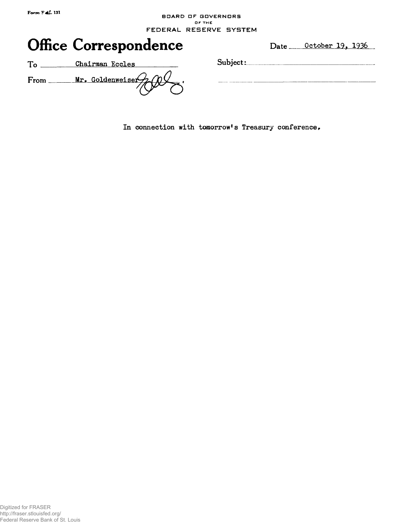## **BOARD DF BDVERNDRS OF THE FEDERAL RESERVE SYSTEM**



In connection with tomorrow's Treasury conference.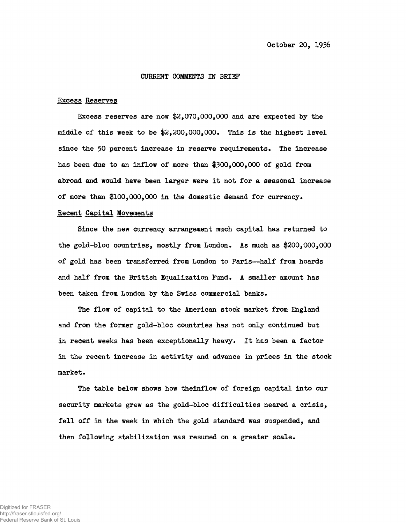#### CURRENT COMMENTS IN BRIEF

#### Excess Reserves

Excess reserves are now \$2,070,000,000 and are expected by the middle of this week to be #2,200,000,000. This is the highest level since the 50 percent increase in reserve requirements. The increase has been due to an inflow of more than #300,000,000 of gold from abroad and would have been larger were it not for a seasonal increase of more than \$100,000,000 in the domestic demand for currency.

## Recent Capital Movements

Since the new currency arrangement much capital has returned to the gold-bloc countries, mostly from London. As much as \$200,000,000 of gold has been transferred from London to Paris—half from hoards and half from the British Equalization Fund. A smaller amount has been taken from London by the Swiss commercial banks.

The flow of capital to the American stock market from England and from the former gold-bloc countries has not only continued but in recent weeks has been exceptionally heavy. It has been a factor in the recent increase in activity and advance in prices in the stock market.

The table below shows how theinflow of foreign capital into our security markets grew as the gold-bloc difficulties neared a crisis, fell off in the week in which the gold standard was suspended, and then following stabilization was resumed on a greater scale.